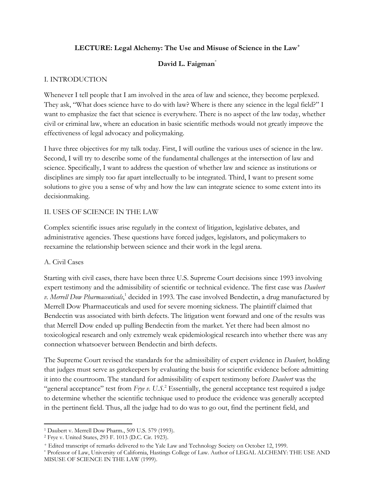# **LECTURE: Legal Alchemy: The Use and Misuse of Science in the Law<sup>+</sup>**

# **David L. Faigman**\*

#### I. INTRODUCTION

Whenever I tell people that I am involved in the area of law and science, they become perplexed. They ask, "What does science have to do with law? Where is there any science in the legal field?" I want to emphasize the fact that science is everywhere. There is no aspect of the law today, whether civil or criminal law, where an education in basic scientific methods would not greatly improve the effectiveness of legal advocacy and policymaking.

I have three objectives for my talk today. First, I will outline the various uses of science in the law. Second, I will try to describe some of the fundamental challenges at the intersection of law and science. Specifically, I want to address the question of whether law and science as institutions or disciplines are simply too far apart intellectually to be integrated. Third, I want to present some solutions to give you a sense of why and how the law can integrate science to some extent into its decisionmaking.

#### II. USES OF SCIENCE IN THE LAW

Complex scientific issues arise regularly in the context of litigation, legislative debates, and administrative agencies. These questions have forced judges, legislators, and policymakers to reexamine the relationship between science and their work in the legal arena.

#### A. Civil Cases

 $\overline{\phantom{a}}$ 

Starting with civil cases, there have been three U.S. Supreme Court decisions since 1993 involving expert testimony and the admissibility of scientific or technical evidence. The first case was *Daubert*  v. Merrell Dow Pharmaceuticals,<sup>1</sup> decided in 1993. The case involved Bendectin, a drug manufactured by Merrell Dow Pharmaceuticals and used for severe morning sickness. The plaintiff claimed that Bendectin was associated with birth defects. The litigation went forward and one of the results was that Merrell Dow ended up pulling Bendectin from the market. Yet there had been almost no toxicological research and only extremely weak epidemiological research into whether there was any connection whatsoever between Bendectin and birth defects.

The Supreme Court revised the standards for the admissibility of expert evidence in *Daubert*, holding that judges must serve as gatekeepers by evaluating the basis for scientific evidence before admitting it into the courtroom. The standard for admissibility of expert testimony before *Daubert* was the "general acceptance" test from *Frye v. U.S*. <sup>2</sup> Essentially, the general acceptance test required a judge to determine whether the scientific technique used to produce the evidence was generally accepted in the pertinent field. Thus, all the judge had to do was to go out, find the pertinent field, and

<sup>1</sup> Daubert v. Merrell Dow Pharm., 509 U.S. 579 (1993).

<sup>2</sup> Frye v. United States, 293 F. 1013 (D.C. Cir. 1923).

<sup>+</sup> Edited transcript of remarks delivered to the Yale Law and Technology Society on October 12, 1999.

<sup>\*</sup> Professor of Law, University of California, Hastings College of Law. Author of LEGAL ALCHEMY: THE USE AND MISUSE OF SCIENCE IN THE LAW (1999).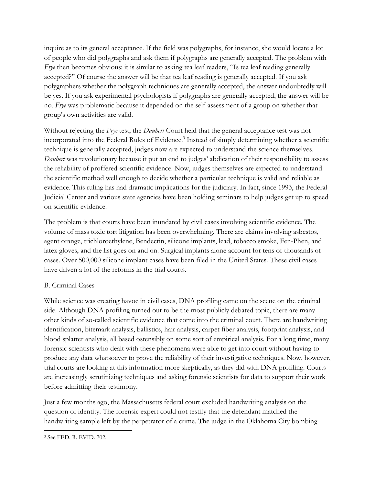inquire as to its general acceptance. If the field was polygraphs, for instance, she would locate a lot of people who did polygraphs and ask them if polygraphs are generally accepted. The problem with *Frye* then becomes obvious: it is similar to asking tea leaf readers, "Is tea leaf reading generally accepted?" Of course the answer will be that tea leaf reading is generally accepted. If you ask polygraphers whether the polygraph techniques are generally accepted, the answer undoubtedly will be yes. If you ask experimental psychologists if polygraphs are generally accepted, the answer will be no. *Frye* was problematic because it depended on the self-assessment of a group on whether that group's own activities are valid.

Without rejecting the *Frye* test, the *Daubert* Court held that the general acceptance test was not incorporated into the Federal Rules of Evidence.<sup>3</sup> Instead of simply determining whether a scientific technique is generally accepted, judges now are expected to understand the science themselves. *Daubert* was revolutionary because it put an end to judges' abdication of their responsibility to assess the reliability of proffered scientific evidence. Now, judges themselves are expected to understand the scientific method well enough to decide whether a particular technique is valid and reliable as evidence. This ruling has had dramatic implications for the judiciary. In fact, since 1993, the Federal Judicial Center and various state agencies have been holding seminars to help judges get up to speed on scientific evidence.

The problem is that courts have been inundated by civil cases involving scientific evidence. The volume of mass toxic tort litigation has been overwhelming. There are claims involving asbestos, agent orange, trichloroethylene, Bendectin, silicone implants, lead, tobacco smoke, Fen-Phen, and latex gloves, and the list goes on and on. Surgical implants alone account for tens of thousands of cases. Over 500,000 silicone implant cases have been filed in the United States. These civil cases have driven a lot of the reforms in the trial courts.

# B. Criminal Cases

While science was creating havoc in civil cases, DNA profiling came on the scene on the criminal side. Although DNA profiling turned out to be the most publicly debated topic, there are many other kinds of so-called scientific evidence that come into the criminal court. There are handwriting identification, bitemark analysis, ballistics, hair analysis, carpet fiber analysis, footprint analysis, and blood splatter analysis, all based ostensibly on some sort of empirical analysis. For a long time, many forensic scientists who dealt with these phenomena were able to get into court without having to produce any data whatsoever to prove the reliability of their investigative techniques. Now, however, trial courts are looking at this information more skeptically, as they did with DNA profiling. Courts are increasingly scrutinizing techniques and asking forensic scientists for data to support their work before admitting their testimony.

Just a few months ago, the Massachusetts federal court excluded handwriting analysis on the question of identity. The forensic expert could not testify that the defendant matched the handwriting sample left by the perpetrator of a crime. The judge in the Oklahoma City bombing

 $\overline{a}$ <sup>3</sup> See FED. R. EVID. 702.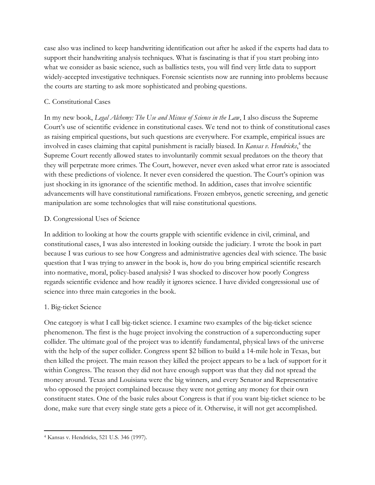case also was inclined to keep handwriting identification out after he asked if the experts had data to support their handwriting analysis techniques. What is fascinating is that if you start probing into what we consider as basic science, such as ballistics tests, you will find very little data to support widely-accepted investigative techniques. Forensic scientists now are running into problems because the courts are starting to ask more sophisticated and probing questions.

#### C. Constitutional Cases

In my new book, *Legal Alchemy: The Use and Misuse of Science in the Law*, I also discuss the Supreme Court's use of scientific evidence in constitutional cases. We tend not to think of constitutional cases as raising empirical questions, but such questions are everywhere. For example, empirical issues are involved in cases claiming that capital punishment is racially biased. In *Kansas v. Hendricks*, 4 the Supreme Court recently allowed states to involuntarily commit sexual predators on the theory that they will perpetrate more crimes. The Court, however, never even asked what error rate is associated with these predictions of violence. It never even considered the question. The Court's opinion was just shocking in its ignorance of the scientific method. In addition, cases that involve scientific advancements will have constitutional ramifications. Frozen embryos, genetic screening, and genetic manipulation are some technologies that will raise constitutional questions.

#### D. Congressional Uses of Science

In addition to looking at how the courts grapple with scientific evidence in civil, criminal, and constitutional cases, I was also interested in looking outside the judiciary. I wrote the book in part because I was curious to see how Congress and administrative agencies deal with science. The basic question that I was trying to answer in the book is, how do you bring empirical scientific research into normative, moral, policy-based analysis? I was shocked to discover how poorly Congress regards scientific evidence and how readily it ignores science. I have divided congressional use of science into three main categories in the book.

# 1. Big-ticket Science

One category is what I call big-ticket science. I examine two examples of the big-ticket science phenomenon. The first is the huge project involving the construction of a superconducting super collider. The ultimate goal of the project was to identify fundamental, physical laws of the universe with the help of the super collider. Congress spent \$2 billion to build a 14-mile hole in Texas, but then killed the project. The main reason they killed the project appears to be a lack of support for it within Congress. The reason they did not have enough support was that they did not spread the money around. Texas and Louisiana were the big winners, and every Senator and Representative who opposed the project complained because they were not getting any money for their own constituent states. One of the basic rules about Congress is that if you want big-ticket science to be done, make sure that every single state gets a piece of it. Otherwise, it will not get accomplished.

 $\overline{a}$ <sup>4</sup> Kansas v. Hendricks, 521 U.S. 346 (1997).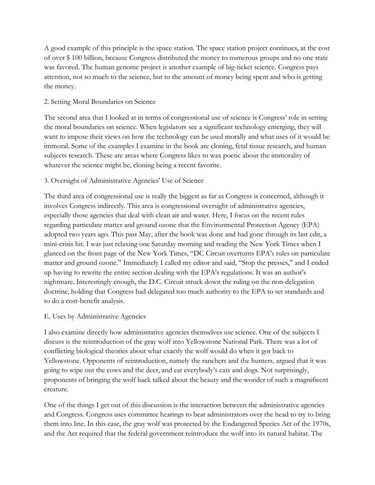A good example of this principle is the space station. The space station project continues, at the cost of over \$ 100 billion, because Congress distributed the money to numerous groups and no one state was favored. The human genome project is another example of big-ticket science. Congress pays attention, not so much to the science, but to the amount of money being spent and who is getting the money.

#### 2. Setting Moral Boundaries on Science

The second area that I looked at in terms of congressional use of science is Congress' role in setting the moral boundaries on science. When legislators see a significant technology emerging, they will want to impose their views on how the technology can be used morally and what uses of it would be immoral. Some of the examples I examine in the book are cloning, fetal tissue research, and human subjects research. These are areas where Congress likes to wax poetic about the immorality of whatever the science might be, cloning being a recent favorite.

# 3. Oversight of Administrative Agencies' Use of Science

The third area of congressional use is really the biggest as far as Congress is concerned, although it involves Congress indirectly. This area is congressional oversight of administrative agencies, especially those agencies that deal with clean air and water. Here, I focus on the recent rules regarding particulate matter and ground ozone that the Environmental Protection Agency (EPA) adopted two years ago. This past May, after the book was done and had gone through its last edit, a mini-crisis hit. I was just relaxing one Saturday morning and reading the New York Times when I glanced on the front page of the New York Times, "DC Circuit overturns EPA's rules on particulate matter and ground ozone." Immediately I called my editor and said, "Stop the presses," and I ended up having to rewrite the entire section dealing with the EPA's regulations. It was an author's nightmare. Interestingly enough, the D.C. Circuit struck down the ruling on the non-delegation doctrine, holding that Congress had delegated too much authority to the EPA to set standards and to do a cost-benefit analysis.

#### E. Uses by Administrative Agencies

I also examine directly how administrative agencies themselves use science. One of the subjects I discuss is the reintroduction of the gray wolf into Yellowstone National Park. There was a lot of conflicting biological theories about what exactly the wolf would do when it got back to Yellowstone. Opponents of reintroduction, namely the ranchers and the hunters, argued that it was going to wipe out the cows and the deer, and eat everybody's cats and dogs. Not surprisingly, proponents of bringing the wolf back talked about the beauty and the wonder of such a magnificent creature.

One of the things I get out of this discussion is the interaction between the administrative agencies and Congress. Congress uses committee hearings to beat administrators over the head to try to bring them into line. In this case, the gray wolf was protected by the Endangered Species Act of the 1970s, and the Act required that the federal government reintroduce the wolf into its natural habitat. The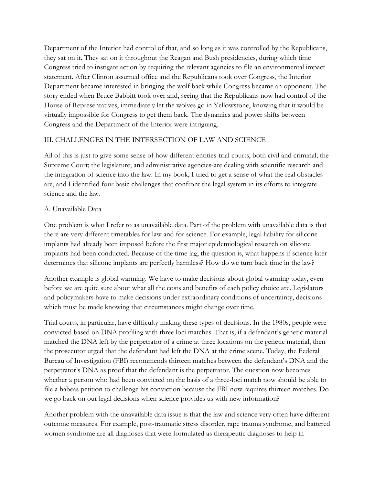Department of the Interior had control of that, and so long as it was controlled by the Republicans, they sat on it. They sat on it throughout the Reagan and Bush presidencies, during which time Congress tried to instigate action by requiring the relevant agencies to file an environmental impact statement. After Clinton assumed office and the Republicans took over Congress, the Interior Department became interested in bringing the wolf back while Congress became an opponent. The story ended when Bruce Babbitt took over and, seeing that the Republicans now had control of the House of Representatives, immediately let the wolves go in Yellowstone, knowing that it would be virtually impossible for Congress to get them back. The dynamics and power shifts between Congress and the Department of the Interior were intriguing.

# III. CHALLENGES IN THE INTERSECTION OF LAW AND SCIENCE

All of this is just to give some sense of how different entities-trial courts, both civil and criminal; the Supreme Court; the legislature; and administrative agencies-are dealing with scientific research and the integration of science into the law. In my book, I tried to get a sense of what the real obstacles are, and I identified four basic challenges that confront the legal system in its efforts to integrate science and the law.

#### A. Unavailable Data

One problem is what I refer to as unavailable data. Part of the problem with unavailable data is that there are very different timetables for law and for science. For example, legal liability for silicone implants had already been imposed before the first major epidemiological research on silicone implants had been conducted. Because of the time lag, the question is, what happens if science later determines that silicone implants are perfectly harmless? How do we turn back time in the law?

Another example is global warming. We have to make decisions about global warming today, even before we are quite sure about what all the costs and benefits of each policy choice are. Legislators and policymakers have to make decisions under extraordinary conditions of uncertainty, decisions which must be made knowing that circumstances might change over time.

Trial courts, in particular, have difficulty making these types of decisions. In the 1980s, people were convicted based on DNA profiling with three loci matches. That is, if a defendant's genetic material matched the DNA left by the perpetrator of a crime at three locations on the genetic material, then the prosecutor urged that the defendant had left the DNA at the crime scene. Today, the Federal Bureau of Investigation (FBI) recommends thirteen matches between the defendant's DNA and the perpetrator's DNA as proof that the defendant is the perpetrator. The question now becomes whether a person who had been convicted on the basis of a three-loci match now should be able to file a habeas petition to challenge his conviction because the FBI now requires thirteen matches. Do we go back on our legal decisions when science provides us with new information?

Another problem with the unavailable data issue is that the law and science very often have different outcome measures. For example, post-traumatic stress disorder, rape trauma syndrome, and battered women syndrome are all diagnoses that were formulated as therapeutic diagnoses to help in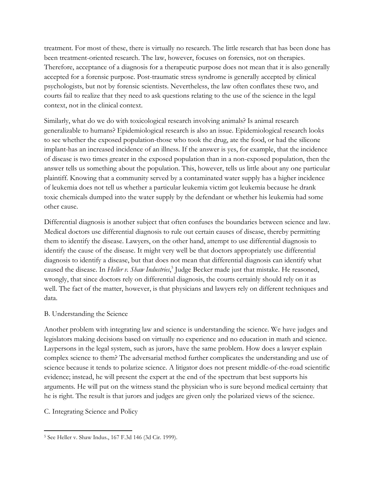treatment. For most of these, there is virtually no research. The little research that has been done has been treatment-oriented research. The law, however, focuses on forensics, not on therapies. Therefore, acceptance of a diagnosis for a therapeutic purpose does not mean that it is also generally accepted for a forensic purpose. Post-traumatic stress syndrome is generally accepted by clinical psychologists, but not by forensic scientists. Nevertheless, the law often conflates these two, and courts fail to realize that they need to ask questions relating to the use of the science in the legal context, not in the clinical context.

Similarly, what do we do with toxicological research involving animals? Is animal research generalizable to humans? Epidemiological research is also an issue. Epidemiological research looks to see whether the exposed population-those who took the drug, ate the food, or had the silicone implant-has an increased incidence of an illness. If the answer is yes, for example, that the incidence of disease is two times greater in the exposed population than in a non-exposed population, then the answer tells us something about the population. This, however, tells us little about any one particular plaintiff. Knowing that a community served by a contaminated water supply has a higher incidence of leukemia does not tell us whether a particular leukemia victim got leukemia because he drank toxic chemicals dumped into the water supply by the defendant or whether his leukemia had some other cause.

Differential diagnosis is another subject that often confuses the boundaries between science and law. Medical doctors use differential diagnosis to rule out certain causes of disease, thereby permitting them to identify the disease. Lawyers, on the other hand, attempt to use differential diagnosis to identify the cause of the disease. It might very well be that doctors appropriately use differential diagnosis to identify a disease, but that does not mean that differential diagnosis can identify what caused the disease. In *Heller v. Shaw Industries*, 5 Judge Becker made just that mistake. He reasoned, wrongly, that since doctors rely on differential diagnosis, the courts certainly should rely on it as well. The fact of the matter, however, is that physicians and lawyers rely on different techniques and data.

# B. Understanding the Science

Another problem with integrating law and science is understanding the science. We have judges and legislators making decisions based on virtually no experience and no education in math and science. Laypersons in the legal system, such as jurors, have the same problem. How does a lawyer explain complex science to them? The adversarial method further complicates the understanding and use of science because it tends to polarize science. A litigator does not present middle-of-the-road scientific evidence; instead, he will present the expert at the end of the spectrum that best supports his arguments. He will put on the witness stand the physician who is sure beyond medical certainty that he is right. The result is that jurors and judges are given only the polarized views of the science.

# C. Integrating Science and Policy

 $\overline{a}$ <sup>5</sup> See Heller v. Shaw Indus., 167 F.3d 146 (3d Cir. 1999).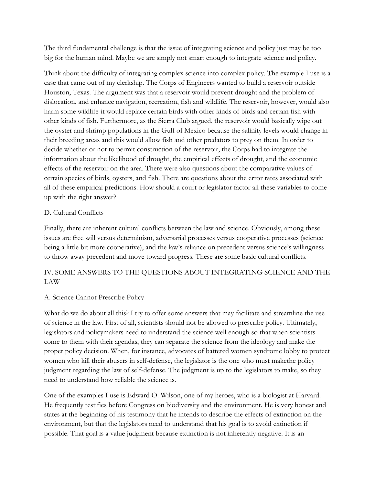The third fundamental challenge is that the issue of integrating science and policy just may be too big for the human mind. Maybe we are simply not smart enough to integrate science and policy.

Think about the difficulty of integrating complex science into complex policy. The example I use is a case that came out of my clerkship. The Corps of Engineers wanted to build a reservoir outside Houston, Texas. The argument was that a reservoir would prevent drought and the problem of dislocation, and enhance navigation, recreation, fish and wildlife. The reservoir, however, would also harm some wildlife-it would replace certain birds with other kinds of birds and certain fish with other kinds of fish. Furthermore, as the Sierra Club argued, the reservoir would basically wipe out the oyster and shrimp populations in the Gulf of Mexico because the salinity levels would change in their breeding areas and this would allow fish and other predators to prey on them. In order to decide whether or not to permit construction of the reservoir, the Corps had to integrate the information about the likelihood of drought, the empirical effects of drought, and the economic effects of the reservoir on the area. There were also questions about the comparative values of certain species of birds, oysters, and fish. There are questions about the error rates associated with all of these empirical predictions. How should a court or legislator factor all these variables to come up with the right answer?

# D. Cultural Conflicts

Finally, there are inherent cultural conflicts between the law and science. Obviously, among these issues are free will versus determinism, adversarial processes versus cooperative processes (science being a little bit more cooperative), and the law's reliance on precedent versus science's willingness to throw away precedent and move toward progress. These are some basic cultural conflicts.

# IV. SOME ANSWERS TO THE QUESTIONS ABOUT INTEGRATING SCIENCE AND THE LAW

# A. Science Cannot Prescribe Policy

What do we do about all this? I try to offer some answers that may facilitate and streamline the use of science in the law. First of all, scientists should not be allowed to prescribe policy. Ultimately, legislators and policymakers need to understand the science well enough so that when scientists come to them with their agendas, they can separate the science from the ideology and make the proper policy decision. When, for instance, advocates of battered women syndrome lobby to protect women who kill their abusers in self-defense, the legislator is the one who must makethe policy judgment regarding the law of self-defense. The judgment is up to the legislators to make, so they need to understand how reliable the science is.

One of the examples I use is Edward O. Wilson, one of my heroes, who is a biologist at Harvard. He frequently testifies before Congress on biodiversity and the environment. He is very honest and states at the beginning of his testimony that he intends to describe the effects of extinction on the environment, but that the legislators need to understand that his goal is to avoid extinction if possible. That goal is a value judgment because extinction is not inherently negative. It is an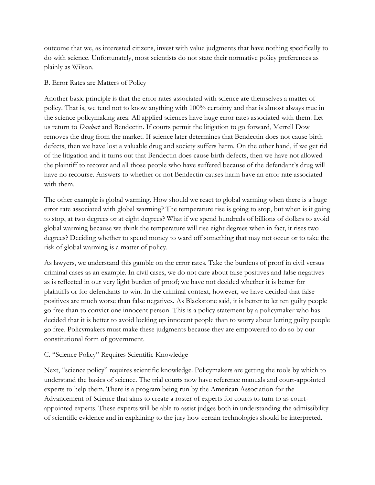outcome that we, as interested citizens, invest with value judgments that have nothing specifically to do with science. Unfortunately, most scientists do not state their normative policy preferences as plainly as Wilson.

#### B. Error Rates are Matters of Policy

Another basic principle is that the error rates associated with science are themselves a matter of policy. That is, we tend not to know anything with 100% certainty and that is almost always true in the science policymaking area. All applied sciences have huge error rates associated with them. Let us return to *Daubert* and Bendectin. If courts permit the litigation to go forward, Merrell Dow removes the drug from the market. If science later determines that Bendectin does not cause birth defects, then we have lost a valuable drug and society suffers harm. On the other hand, if we get rid of the litigation and it turns out that Bendectin does cause birth defects, then we have not allowed the plaintiff to recover and all those people who have suffered because of the defendant's drug will have no recourse. Answers to whether or not Bendectin causes harm have an error rate associated with them.

The other example is global warming. How should we react to global warming when there is a huge error rate associated with global warming? The temperature rise is going to stop, but when is it going to stop, at two degrees or at eight degrees? What if we spend hundreds of billions of dollars to avoid global warming because we think the temperature will rise eight degrees when in fact, it rises two degrees? Deciding whether to spend money to ward off something that may not occur or to take the risk of global warming is a matter of policy.

As lawyers, we understand this gamble on the error rates. Take the burdens of proof in civil versus criminal cases as an example. In civil cases, we do not care about false positives and false negatives as is reflected in our very light burden of proof; we have not decided whether it is better for plaintiffs or for defendants to win. In the criminal context, however, we have decided that false positives are much worse than false negatives. As Blackstone said, it is better to let ten guilty people go free than to convict one innocent person. This is a policy statement by a policymaker who has decided that it is better to avoid locking up innocent people than to worry about letting guilty people go free. Policymakers must make these judgments because they are empowered to do so by our constitutional form of government.

# C. "Science Policy" Requires Scientific Knowledge

Next, "science policy" requires scientific knowledge. Policymakers are getting the tools by which to understand the basics of science. The trial courts now have reference manuals and court-appointed experts to help them. There is a program being run by the American Association for the Advancement of Science that aims to create a roster of experts for courts to turn to as courtappointed experts. These experts will be able to assist judges both in understanding the admissibility of scientific evidence and in explaining to the jury how certain technologies should be interpreted.